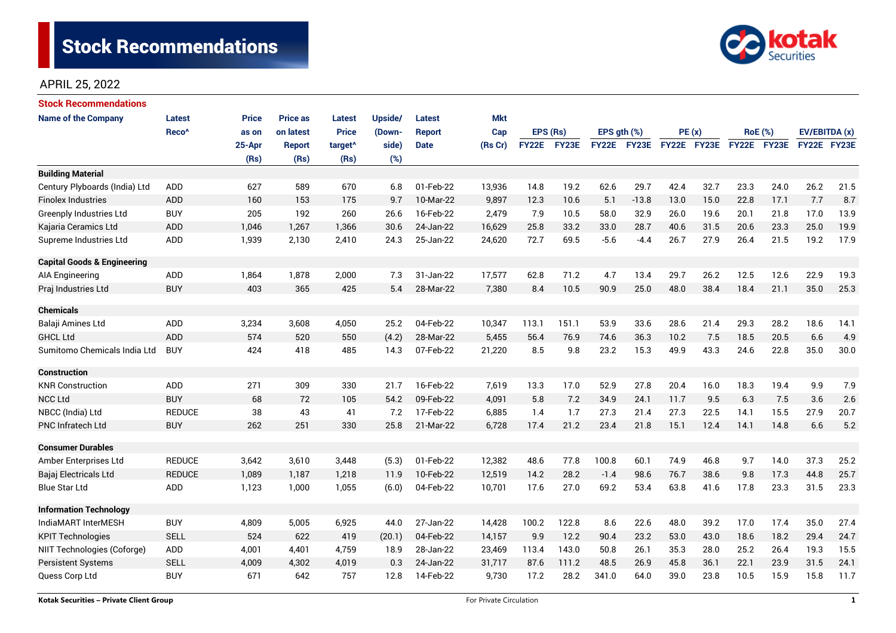

| <b>Stock Recommendations</b>           |                   |              |                 |                     |                |               |            |              |       |               |             |             |      |                |             |               |      |
|----------------------------------------|-------------------|--------------|-----------------|---------------------|----------------|---------------|------------|--------------|-------|---------------|-------------|-------------|------|----------------|-------------|---------------|------|
| <b>Name of the Company</b>             | <b>Latest</b>     | <b>Price</b> | <b>Price as</b> | <b>Latest</b>       | <b>Upside/</b> | <b>Latest</b> | <b>Mkt</b> |              |       |               |             |             |      |                |             |               |      |
|                                        | Reco <sup>^</sup> | as on        | on latest       | <b>Price</b>        | (Down-         | <b>Report</b> | Cap        | EPS (Rs)     |       | EPS $gth$ $%$ |             | PE(x)       |      | <b>RoE</b> (%) |             | EV/EBITDA (x) |      |
|                                        |                   | 25-Apr       | <b>Report</b>   | target <sup>^</sup> | side)          | <b>Date</b>   | (Rs Cr)    | <b>FY22E</b> | FY23E |               | FY22E FY23E | FY22E FY23E |      |                | FY22E FY23E | FY22E FY23E   |      |
|                                        |                   | (Rs)         | (Rs)            | (Rs)                | (%)            |               |            |              |       |               |             |             |      |                |             |               |      |
| <b>Building Material</b>               |                   |              |                 |                     |                |               |            |              |       |               |             |             |      |                |             |               |      |
| Century Plyboards (India) Ltd          | <b>ADD</b>        | 627          | 589             | 670                 | 6.8            | 01-Feb-22     | 13,936     | 14.8         | 19.2  | 62.6          | 29.7        | 42.4        | 32.7 | 23.3           | 24.0        | 26.2          | 21.5 |
| <b>Finolex Industries</b>              | ADD               | 160          | 153             | 175                 | 9.7            | 10-Mar-22     | 9,897      | 12.3         | 10.6  | 5.1           | $-13.8$     | 13.0        | 15.0 | 22.8           | 17.1        | 7.7           | 8.7  |
| <b>Greenply Industries Ltd</b>         | <b>BUY</b>        | 205          | 192             | 260                 | 26.6           | 16-Feb-22     | 2,479      | 7.9          | 10.5  | 58.0          | 32.9        | 26.0        | 19.6 | 20.1           | 21.8        | 17.0          | 13.9 |
| Kajaria Ceramics Ltd                   | <b>ADD</b>        | 1,046        | 1,267           | 1,366               | 30.6           | 24-Jan-22     | 16,629     | 25.8         | 33.2  | 33.0          | 28.7        | 40.6        | 31.5 | 20.6           | 23.3        | 25.0          | 19.9 |
| Supreme Industries Ltd                 | <b>ADD</b>        | 1,939        | 2,130           | 2,410               | 24.3           | 25-Jan-22     | 24,620     | 72.7         | 69.5  | $-5.6$        | $-4.4$      | 26.7        | 27.9 | 26.4           | 21.5        | 19.2          | 17.9 |
| <b>Capital Goods &amp; Engineering</b> |                   |              |                 |                     |                |               |            |              |       |               |             |             |      |                |             |               |      |
| AIA Engineering                        | ADD               | 1,864        | 1,878           | 2,000               | 7.3            | 31-Jan-22     | 17,577     | 62.8         | 71.2  | 4.7           | 13.4        | 29.7        | 26.2 | 12.5           | 12.6        | 22.9          | 19.3 |
| Praj Industries Ltd                    | <b>BUY</b>        | 403          | 365             | 425                 | 5.4            | 28-Mar-22     | 7,380      | 8.4          | 10.5  | 90.9          | 25.0        | 48.0        | 38.4 | 18.4           | 21.1        | 35.0          | 25.3 |
| <b>Chemicals</b>                       |                   |              |                 |                     |                |               |            |              |       |               |             |             |      |                |             |               |      |
| Balaji Amines Ltd                      | ADD               | 3,234        | 3,608           | 4,050               | 25.2           | 04-Feb-22     | 10,347     | 113.1        | 151.1 | 53.9          | 33.6        | 28.6        | 21.4 | 29.3           | 28.2        | 18.6          | 14.1 |
| <b>GHCL Ltd</b>                        | <b>ADD</b>        | 574          | 520             | 550                 | (4.2)          | 28-Mar-22     | 5,455      | 56.4         | 76.9  | 74.6          | 36.3        | 10.2        | 7.5  | 18.5           | 20.5        | 6.6           | 4.9  |
| Sumitomo Chemicals India Ltd           | <b>BUY</b>        | 424          | 418             | 485                 | 14.3           | 07-Feb-22     | 21,220     | 8.5          | 9.8   | 23.2          | 15.3        | 49.9        | 43.3 | 24.6           | 22.8        | 35.0          | 30.0 |
| <b>Construction</b>                    |                   |              |                 |                     |                |               |            |              |       |               |             |             |      |                |             |               |      |
| <b>KNR Construction</b>                | ADD               | 271          | 309             | 330                 | 21.7           | 16-Feb-22     | 7,619      | 13.3         | 17.0  | 52.9          | 27.8        | 20.4        | 16.0 | 18.3           | 19.4        | 9.9           | 7.9  |
| <b>NCC Ltd</b>                         | <b>BUY</b>        | 68           | 72              | 105                 | 54.2           | 09-Feb-22     | 4,091      | 5.8          | 7.2   | 34.9          | 24.1        | 11.7        | 9.5  | 6.3            | 7.5         | 3.6           | 2.6  |
| NBCC (India) Ltd                       | <b>REDUCE</b>     | 38           | 43              | 41                  | 7.2            | 17-Feb-22     | 6,885      | 1.4          | 1.7   | 27.3          | 21.4        | 27.3        | 22.5 | 14.1           | 15.5        | 27.9          | 20.7 |
| <b>PNC Infratech Ltd</b>               | <b>BUY</b>        | 262          | 251             | 330                 | 25.8           | 21-Mar-22     | 6,728      | 17.4         | 21.2  | 23.4          | 21.8        | 15.1        | 12.4 | 14.1           | 14.8        | 6.6           | 5.2  |
| <b>Consumer Durables</b>               |                   |              |                 |                     |                |               |            |              |       |               |             |             |      |                |             |               |      |
| Amber Enterprises Ltd                  | <b>REDUCE</b>     | 3,642        | 3,610           | 3,448               | (5.3)          | 01-Feb-22     | 12,382     | 48.6         | 77.8  | 100.8         | 60.1        | 74.9        | 46.8 | 9.7            | 14.0        | 37.3          | 25.2 |
| Bajaj Electricals Ltd                  | <b>REDUCE</b>     | 1,089        | 1,187           | 1,218               | 11.9           | 10-Feb-22     | 12,519     | 14.2         | 28.2  | $-1.4$        | 98.6        | 76.7        | 38.6 | 9.8            | 17.3        | 44.8          | 25.7 |
| <b>Blue Star Ltd</b>                   | <b>ADD</b>        | 1,123        | 1,000           | 1,055               | (6.0)          | 04-Feb-22     | 10,701     | 17.6         | 27.0  | 69.2          | 53.4        | 63.8        | 41.6 | 17.8           | 23.3        | 31.5          | 23.3 |
| <b>Information Technology</b>          |                   |              |                 |                     |                |               |            |              |       |               |             |             |      |                |             |               |      |
| IndiaMART InterMESH                    | <b>BUY</b>        | 4,809        | 5,005           | 6,925               | 44.0           | 27-Jan-22     | 14,428     | 100.2        | 122.8 | 8.6           | 22.6        | 48.0        | 39.2 | 17.0           | 17.4        | 35.0          | 27.4 |
| <b>KPIT Technologies</b>               | <b>SELL</b>       | 524          | 622             | 419                 | (20.1)         | 04-Feb-22     | 14,157     | 9.9          | 12.2  | 90.4          | 23.2        | 53.0        | 43.0 | 18.6           | 18.2        | 29.4          | 24.7 |
| NIIT Technologies (Coforge)            | ADD               | 4,001        | 4,401           | 4,759               | 18.9           | 28-Jan-22     | 23,469     | 113.4        | 143.0 | 50.8          | 26.1        | 35.3        | 28.0 | 25.2           | 26.4        | 19.3          | 15.5 |
| <b>Persistent Systems</b>              | <b>SELL</b>       | 4,009        | 4,302           | 4,019               | 0.3            | 24-Jan-22     | 31,717     | 87.6         | 111.2 | 48.5          | 26.9        | 45.8        | 36.1 | 22.1           | 23.9        | 31.5          | 24.1 |
| Quess Corp Ltd                         | <b>BUY</b>        | 671          | 642             | 757                 | 12.8           | 14-Feb-22     | 9,730      | 17.2         | 28.2  | 341.0         | 64.0        | 39.0        | 23.8 | 10.5           | 15.9        | 15.8          | 11.7 |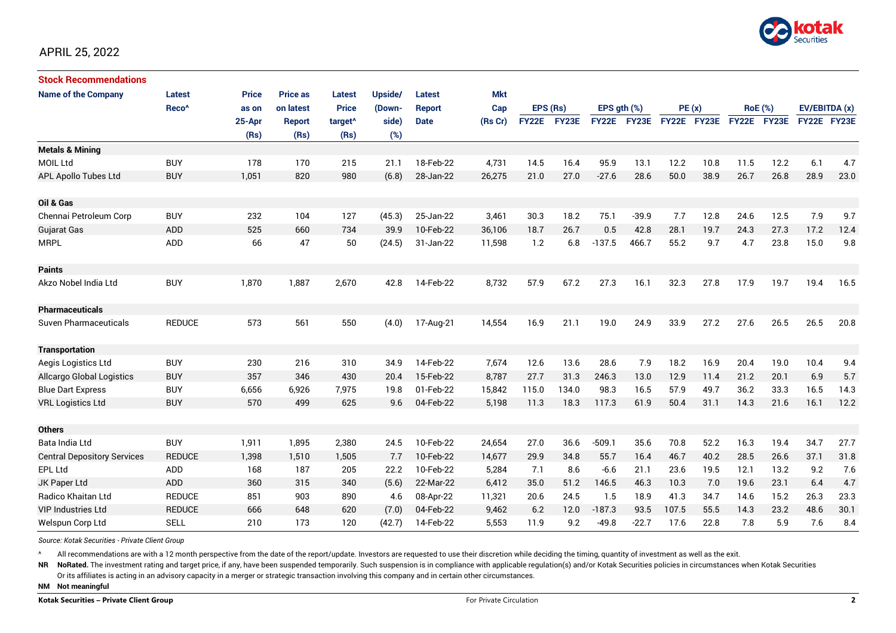

| <b>Stock Recommendations</b>       |                   |              |                 |                     |         |             |            |              |       |                  |         |             |      |                |             |               |      |
|------------------------------------|-------------------|--------------|-----------------|---------------------|---------|-------------|------------|--------------|-------|------------------|---------|-------------|------|----------------|-------------|---------------|------|
| <b>Name of the Company</b>         | Latest            | <b>Price</b> | <b>Price as</b> | Latest              | Upside/ | Latest      | <b>Mkt</b> |              |       |                  |         |             |      |                |             |               |      |
|                                    | Reco <sup>^</sup> | as on        | on latest       | <b>Price</b>        | (Down-  | Report      | Cap        | EPS (Rs)     |       | EPS $qth$ $(\%)$ |         | PE(x)       |      | <b>RoE</b> (%) |             | EV/EBITDA (x) |      |
|                                    |                   | 25-Apr       | Report          | target <sup>^</sup> | side)   | <b>Date</b> | (Rs Cr)    | <b>FY22E</b> | FY23E | <b>FY22E</b>     | FY23E   | FY22E FY23E |      |                | FY22E FY23E | FY22E FY23E   |      |
|                                    |                   | (Rs)         | (Rs)            | (Rs)                | (%)     |             |            |              |       |                  |         |             |      |                |             |               |      |
| <b>Metals &amp; Mining</b>         |                   |              |                 |                     |         |             |            |              |       |                  |         |             |      |                |             |               |      |
| MOIL Ltd                           | <b>BUY</b>        | 178          | 170             | 215                 | 21.1    | 18-Feb-22   | 4,731      | 14.5         | 16.4  | 95.9             | 13.1    | 12.2        | 10.8 | 11.5           | 12.2        | 6.1           | 4.7  |
| APL Apollo Tubes Ltd               | <b>BUY</b>        | 1,051        | 820             | 980                 | (6.8)   | 28-Jan-22   | 26,275     | 21.0         | 27.0  | $-27.6$          | 28.6    | 50.0        | 38.9 | 26.7           | 26.8        | 28.9          | 23.0 |
|                                    |                   |              |                 |                     |         |             |            |              |       |                  |         |             |      |                |             |               |      |
| Oil & Gas                          |                   |              |                 |                     |         |             |            |              |       |                  |         |             |      |                |             |               |      |
| Chennai Petroleum Corp             | <b>BUY</b>        | 232          | 104             | 127                 | (45.3)  | 25-Jan-22   | 3,461      | 30.3         | 18.2  | 75.1             | $-39.9$ | 7.7         | 12.8 | 24.6           | 12.5        | 7.9           | 9.7  |
| Gujarat Gas                        | <b>ADD</b>        | 525          | 660             | 734                 | 39.9    | 10-Feb-22   | 36.106     | 18.7         | 26.7  | 0.5              | 42.8    | 28.1        | 19.7 | 24.3           | 27.3        | 17.2          | 12.4 |
| <b>MRPL</b>                        | <b>ADD</b>        | 66           | 47              | 50                  | (24.5)  | 31-Jan-22   | 11,598     | 1.2          | 6.8   | $-137.5$         | 466.7   | 55.2        | 9.7  | 4.7            | 23.8        | 15.0          | 9.8  |
|                                    |                   |              |                 |                     |         |             |            |              |       |                  |         |             |      |                |             |               |      |
| <b>Paints</b>                      |                   |              |                 |                     |         |             |            |              |       |                  |         |             |      |                |             |               |      |
| Akzo Nobel India Ltd               | <b>BUY</b>        | 1,870        | 1,887           | 2,670               | 42.8    | 14-Feb-22   | 8,732      | 57.9         | 67.2  | 27.3             | 16.1    | 32.3        | 27.8 | 17.9           | 19.7        | 19.4          | 16.5 |
|                                    |                   |              |                 |                     |         |             |            |              |       |                  |         |             |      |                |             |               |      |
| <b>Pharmaceuticals</b>             |                   |              |                 |                     |         |             |            |              |       |                  |         |             |      |                |             |               |      |
| <b>Suven Pharmaceuticals</b>       | <b>REDUCE</b>     | 573          | 561             | 550                 | (4.0)   | 17-Aug-21   | 14,554     | 16.9         | 21.1  | 19.0             | 24.9    | 33.9        | 27.2 | 27.6           | 26.5        | 26.5          | 20.8 |
|                                    |                   |              |                 |                     |         |             |            |              |       |                  |         |             |      |                |             |               |      |
| <b>Transportation</b>              |                   |              |                 |                     |         |             |            |              |       |                  |         |             |      |                |             |               |      |
| Aegis Logistics Ltd                | <b>BUY</b>        | 230          | 216             | 310                 | 34.9    | 14-Feb-22   | 7,674      | 12.6         | 13.6  | 28.6             | 7.9     | 18.2        | 16.9 | 20.4           | 19.0        | 10.4          | 9.4  |
| <b>Allcargo Global Logistics</b>   | <b>BUY</b>        | 357          | 346             | 430                 | 20.4    | 15-Feb-22   | 8,787      | 27.7         | 31.3  | 246.3            | 13.0    | 12.9        | 11.4 | 21.2           | 20.1        | 6.9           | 5.7  |
| <b>Blue Dart Express</b>           | <b>BUY</b>        | 6,656        | 6,926           | 7,975               | 19.8    | 01-Feb-22   | 15,842     | 115.0        | 134.0 | 98.3             | 16.5    | 57.9        | 49.7 | 36.2           | 33.3        | 16.5          | 14.3 |
| <b>VRL Logistics Ltd</b>           | <b>BUY</b>        | 570          | 499             | 625                 | 9.6     | 04-Feb-22   | 5,198      | 11.3         | 18.3  | 117.3            | 61.9    | 50.4        | 31.1 | 14.3           | 21.6        | 16.1          | 12.2 |
|                                    |                   |              |                 |                     |         |             |            |              |       |                  |         |             |      |                |             |               |      |
| <b>Others</b>                      |                   |              |                 |                     |         |             |            |              |       |                  |         |             |      |                |             |               |      |
| Bata India Ltd                     | <b>BUY</b>        | 1,911        | 1,895           | 2,380               | 24.5    | 10-Feb-22   | 24,654     | 27.0         | 36.6  | $-509.1$         | 35.6    | 70.8        | 52.2 | 16.3           | 19.4        | 34.7          | 27.7 |
| <b>Central Depository Services</b> | <b>REDUCE</b>     | 1,398        | 1,510           | 1,505               | 7.7     | 10-Feb-22   | 14,677     | 29.9         | 34.8  | 55.7             | 16.4    | 46.7        | 40.2 | 28.5           | 26.6        | 37.1          | 31.8 |
| EPL Ltd                            | ADD               | 168          | 187             | 205                 | 22.2    | 10-Feb-22   | 5,284      | 7.1          | 8.6   | $-6.6$           | 21.1    | 23.6        | 19.5 | 12.1           | 13.2        | 9.2           | 7.6  |
| JK Paper Ltd                       | <b>ADD</b>        | 360          | 315             | 340                 | (5.6)   | 22-Mar-22   | 6,412      | 35.0         | 51.2  | 146.5            | 46.3    | 10.3        | 7.0  | 19.6           | 23.1        | 6.4           | 4.7  |
| Radico Khaitan Ltd                 | <b>REDUCE</b>     | 851          | 903             | 890                 | 4.6     | 08-Apr-22   | 11,321     | 20.6         | 24.5  | 1.5              | 18.9    | 41.3        | 34.7 | 14.6           | 15.2        | 26.3          | 23.3 |
| <b>VIP Industries Ltd</b>          | <b>REDUCE</b>     | 666          | 648             | 620                 | (7.0)   | 04-Feb-22   | 9,462      | 6.2          | 12.0  | $-187.3$         | 93.5    | 107.5       | 55.5 | 14.3           | 23.2        | 48.6          | 30.1 |
| Welspun Corp Ltd                   | <b>SELL</b>       | 210          | 173             | 120                 | (42.7)  | 14-Feb-22   | 5,553      | 11.9         | 9.2   | $-49.8$          | $-22.7$ | 17.6        | 22.8 | 7.8            | 5.9         | 7.6           | 8.4  |

*Source: Kotak Securities - Private Client Group*

All recommendations are with a 12 month perspective from the date of the report/update. Investors are requested to use their discretion while deciding the timing, quantity of investment as well as the exit.

NR NoRated. The investment rating and target price, if any, have been suspended temporarily. Such suspension is in compliance with applicable regulation(s) and/or Kotak Securities policies in circumstances when Kotak Secur

Or its affiliates is acting in an advisory capacity in a merger or strategic transaction involving this company and in certain other circumstances.

**NM Not meaningful**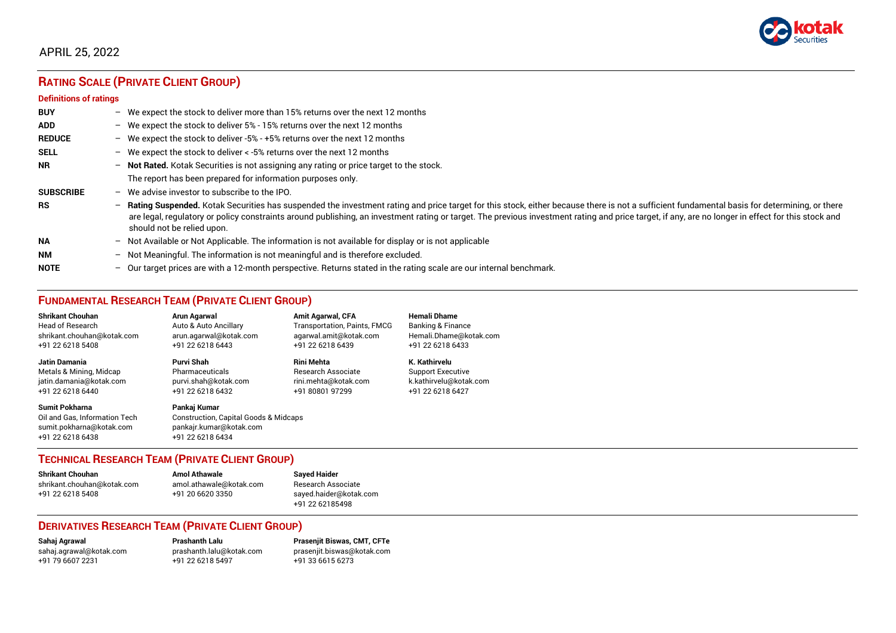

# **RATING SCALE (PRIVATE CLIENT GROUP)**

#### **Definitions of ratings**

| <b>BUY</b>       |                          | - We expect the stock to deliver more than 15% returns over the next 12 months                                                                                                                                                                                                                                                                                                                                                   |
|------------------|--------------------------|----------------------------------------------------------------------------------------------------------------------------------------------------------------------------------------------------------------------------------------------------------------------------------------------------------------------------------------------------------------------------------------------------------------------------------|
| <b>ADD</b>       |                          | - We expect the stock to deliver 5% - 15% returns over the next 12 months                                                                                                                                                                                                                                                                                                                                                        |
| <b>REDUCE</b>    |                          | - We expect the stock to deliver -5% - +5% returns over the next 12 months                                                                                                                                                                                                                                                                                                                                                       |
| <b>SELL</b>      |                          | - We expect the stock to deliver $\lt$ -5% returns over the next 12 months                                                                                                                                                                                                                                                                                                                                                       |
| <b>NR</b>        |                          | - Not Rated. Kotak Securities is not assigning any rating or price target to the stock.                                                                                                                                                                                                                                                                                                                                          |
|                  |                          | The report has been prepared for information purposes only.                                                                                                                                                                                                                                                                                                                                                                      |
| <b>SUBSCRIBE</b> | $\overline{\phantom{0}}$ | We advise investor to subscribe to the IPO.                                                                                                                                                                                                                                                                                                                                                                                      |
| <b>RS</b>        | $\overline{\phantom{0}}$ | Rating Suspended. Kotak Securities has suspended the investment rating and price target for this stock, either because there is not a sufficient fundamental basis for determining, or there<br>are legal, regulatory or policy constraints around publishing, an investment rating or target. The previous investment rating and price target, if any, are no longer in effect for this stock and<br>should not be relied upon. |
| <b>NA</b>        |                          | - Not Available or Not Applicable. The information is not available for display or is not applicable                                                                                                                                                                                                                                                                                                                             |
| <b>NM</b>        | $\overline{\phantom{0}}$ | Not Meaningful. The information is not meaningful and is therefore excluded.                                                                                                                                                                                                                                                                                                                                                     |
| <b>NOTE</b>      |                          | - Our target prices are with a 12-month perspective. Returns stated in the rating scale are our internal benchmark.                                                                                                                                                                                                                                                                                                              |

# **FUNDAMENTAL RESEARCH TEAM (PRIVATE CLIENT GROUP)**

| <b>Shrikant Chouhan</b>                                                                                | Arun Agarwal                                                                                         | <b>Amit Agarwal, CFA</b>            | <b>Hemali Dhame</b>          |
|--------------------------------------------------------------------------------------------------------|------------------------------------------------------------------------------------------------------|-------------------------------------|------------------------------|
| <b>Head of Research</b>                                                                                | Auto & Auto Ancillary                                                                                | <b>Transportation, Paints, FMCG</b> | <b>Banking &amp; Finance</b> |
| shrikant.chouhan@kotak.com                                                                             | arun.agarwal@kotak.com                                                                               | agarwal.amit@kotak.com              | Hemali.Dhame@kotak.com       |
| +91 22 6218 5408                                                                                       | +91 22 6218 6443                                                                                     | +91 22 6218 6439                    | +91 22 6218 6433             |
| <b>Jatin Damania</b>                                                                                   | Purvi Shah                                                                                           | <b>Rini Mehta</b>                   | K. Kathirvelu                |
| Metals & Mining, Midcap                                                                                | Pharmaceuticals                                                                                      | <b>Research Associate</b>           | <b>Support Executive</b>     |
| jatin.damania@kotak.com                                                                                | purvi.shah@kotak.com                                                                                 | rini.mehta@kotak.com                | k.kathirvelu@kotak.com       |
| +91 22 6218 6440                                                                                       | +91 22 6218 6432                                                                                     | +91 80801 97299                     | +91 22 6218 6427             |
| <b>Sumit Pokharna</b><br>Oil and Gas. Information Tech<br>sumit.pokharna@kotak.com<br>+91 22 6218 6438 | Pankai Kumar<br>Construction, Capital Goods & Midcaps<br>pankajr.kumar@kotak.com<br>+91 22 6218 6434 |                                     |                              |

#### **TECHNICAL RESEARCH TEAM (PRIVATE CLIENT GROUP)**

| <b>Shrikant Chouhan</b>    | <b>Amol Athawale</b>    |  |
|----------------------------|-------------------------|--|
| shrikant.chouhan@kotak.com | amol.athawale@kotak.com |  |
| +91 22 6218 5408           | +91 20 6620 3350        |  |
|                            |                         |  |

**Sayed Haider** Research Associate [sayed.haider@kotak.com](mailto:sayed.haider@kotak.com) +91 22 62185498

#### **DERIVATIVES RESEARCH TEAM (PRIVATE CLIENT GROUP)**

+91 22 6218 5497 +91 33 6615 6273

**Sahaj Agrawal Prashanth Lalu Prasenjit Biswas, CMT, CFTe** [sahaj.agrawal@kotak.com](mailto:sahaj.agrawal@kotak.com) [prashanth.lalu@kotak.com](mailto:prashanth.lalu@kotak.com) [prasenjit.biswas@kotak.com](mailto:prasenjit.biswas@kotak.com)